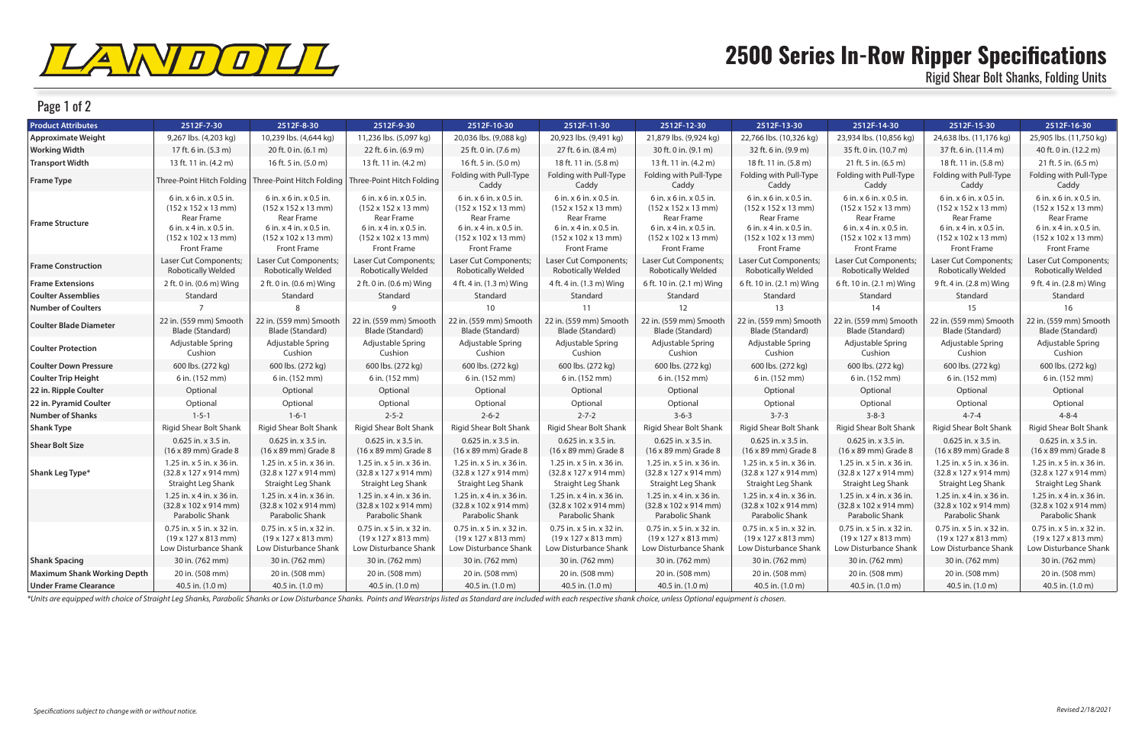

## Page 1 of 2

## **2500 Series In-Row Ripper Specifications** Rigid Shear Bolt Shanks, Folding Units

| <b>Product Attributes</b>          | 2512F-7-30                                                                                                                                                                   | 2512F-8-30                                                                                                                                                                   | 2512F-9-30                                                                                                                                                            | 2512F-10-30                                                                                                                                                                  | 2512F-11-30                                                                                                                                                           | 2512F-12-30                                                                                                                                                           | 2512F-13-30                                                                                                                                                           | 2512F-14-30                                                                                                                                                           | 2512F-15-30                                                                                                                                                                 | 2512F-16-30                                                                                                                                                           |
|------------------------------------|------------------------------------------------------------------------------------------------------------------------------------------------------------------------------|------------------------------------------------------------------------------------------------------------------------------------------------------------------------------|-----------------------------------------------------------------------------------------------------------------------------------------------------------------------|------------------------------------------------------------------------------------------------------------------------------------------------------------------------------|-----------------------------------------------------------------------------------------------------------------------------------------------------------------------|-----------------------------------------------------------------------------------------------------------------------------------------------------------------------|-----------------------------------------------------------------------------------------------------------------------------------------------------------------------|-----------------------------------------------------------------------------------------------------------------------------------------------------------------------|-----------------------------------------------------------------------------------------------------------------------------------------------------------------------------|-----------------------------------------------------------------------------------------------------------------------------------------------------------------------|
| <b>Approximate Weight</b>          | 9,267 lbs. (4,203 kg)                                                                                                                                                        | 10,239 lbs. (4,644 kg)                                                                                                                                                       | 11,236 lbs. (5,097 kg)                                                                                                                                                | 20,036 lbs. (9,088 kg)                                                                                                                                                       | 20,923 lbs. (9,491 kg)                                                                                                                                                | 21,879 lbs. (9,924 kg)                                                                                                                                                | 22,766 lbs. (10,326 kg)                                                                                                                                               | 23,934 lbs. (10,856 kg)                                                                                                                                               | 24,638 lbs. (11,176 kg)                                                                                                                                                     | 25,905 lbs. (11,750 kg)                                                                                                                                               |
| <b>Working Width</b>               | 17 ft. 6 in. (5.3 m)                                                                                                                                                         | 20 ft. 0 in. (6.1 m)                                                                                                                                                         | 22 ft. 6 in. (6.9 m)                                                                                                                                                  | 25 ft. 0 in. (7.6 m)                                                                                                                                                         | 27 ft. 6 in. (8.4 m)                                                                                                                                                  | 30 ft. 0 in. (9.1 m)                                                                                                                                                  | 32 ft. 6 in. (9.9 m)                                                                                                                                                  | 35 ft. 0 in. (10.7 m)                                                                                                                                                 | 37 ft. 6 in. (11.4 m)                                                                                                                                                       | 40 ft. 0 in. (12.2 m)                                                                                                                                                 |
| <b>Transport Width</b>             | 13 ft. 11 in. (4.2 m)                                                                                                                                                        | 16 ft. 5 in. (5.0 m)                                                                                                                                                         | 13 ft. 11 in. (4.2 m)                                                                                                                                                 | 16 ft. 5 in. (5.0 m)                                                                                                                                                         | 18 ft. 11 in. (5.8 m)                                                                                                                                                 | 13 ft. 11 in. (4.2 m)                                                                                                                                                 | 18 ft. 11 in. (5.8 m)                                                                                                                                                 | 21 ft. 5 in. (6.5 m)                                                                                                                                                  | 18 ft. 11 in. (5.8 m)                                                                                                                                                       | 21 ft. 5 in. (6.5 m)                                                                                                                                                  |
| <b>Frame Type</b>                  | Three-Point Hitch Folding                                                                                                                                                    | Three-Point Hitch Folding                                                                                                                                                    | Three-Point Hitch Folding                                                                                                                                             | Folding with Pull-Type<br>Caddy                                                                                                                                              | Folding with Pull-Type<br>Caddy                                                                                                                                       | Folding with Pull-Type<br>Caddy                                                                                                                                       | Folding with Pull-Type<br>Caddy                                                                                                                                       | Folding with Pull-Type<br>Caddy                                                                                                                                       | Folding with Pull-Type<br>Caddy                                                                                                                                             | Folding with Pull-Type<br>Caddy                                                                                                                                       |
| <b>Frame Structure</b>             | 6 in. x 6 in. x 0.5 in.<br>$(152 \times 152 \times 13 \text{ mm})$<br>Rear Frame<br>6 in. x 4 in. x 0.5 in.<br>$(152 \times 102 \times 13 \text{ mm})$<br><b>Front Frame</b> | 6 in. x 6 in. x 0.5 in.<br>$(152 \times 152 \times 13 \text{ mm})$<br>Rear Frame<br>6 in. x 4 in. x 0.5 in.<br>$(152 \times 102 \times 13 \text{ mm})$<br><b>Front Frame</b> | 6 in. x 6 in. x 0.5 in.<br>$(152 \times 152 \times 13 \text{ mm})$<br>Rear Frame<br>6 in. x 4 in. x 0.5 in.<br>$(152 \times 102 \times 13 \text{ mm})$<br>Front Frame | 6 in. x 6 in. x 0.5 in.<br>$(152 \times 152 \times 13 \text{ mm})$<br>Rear Frame<br>6 in. x 4 in. x 0.5 in.<br>$(152 \times 102 \times 13 \text{ mm})$<br><b>Front Frame</b> | 6 in. x 6 in. x 0.5 in.<br>$(152 \times 152 \times 13 \text{ mm})$<br>Rear Frame<br>6 in. x 4 in. x 0.5 in.<br>$(152 \times 102 \times 13 \text{ mm})$<br>Front Frame | 6 in. x 6 in. x 0.5 in.<br>$(152 \times 152 \times 13 \text{ mm})$<br>Rear Frame<br>6 in. x 4 in. x 0.5 in.<br>$(152 \times 102 \times 13 \text{ mm})$<br>Front Frame | 6 in. x 6 in. x 0.5 in.<br>$(152 \times 152 \times 13 \text{ mm})$<br>Rear Frame<br>6 in. x 4 in. x 0.5 in.<br>$(152 \times 102 \times 13 \text{ mm})$<br>Front Frame | 6 in. x 6 in. x 0.5 in.<br>$(152 \times 152 \times 13 \text{ mm})$<br>Rear Frame<br>6 in. x 4 in. x 0.5 in.<br>$(152 \times 102 \times 13 \text{ mm})$<br>Front Frame | 6 in. x 6 in. x 0.5 in.<br>$(152 \times 152 \times 13 \text{ mm})$<br>Rear Frame<br>$6$ in. $x$ 4 in. $x$ 0.5 in.<br>$(152 \times 102 \times 13 \text{ mm})$<br>Front Frame | 6 in. x 6 in. x 0.5 in.<br>$(152 \times 152 \times 13 \text{ mm})$<br>Rear Frame<br>6 in. x 4 in. x 0.5 in.<br>$(152 \times 102 \times 13 \text{ mm})$<br>Front Frame |
| <b>Frame Construction</b>          | Laser Cut Components;<br><b>Robotically Welded</b>                                                                                                                           | Laser Cut Components;<br><b>Robotically Welded</b>                                                                                                                           | Laser Cut Components;<br><b>Robotically Welded</b>                                                                                                                    | Laser Cut Components;<br><b>Robotically Welded</b>                                                                                                                           | Laser Cut Components;<br><b>Robotically Welded</b>                                                                                                                    | Laser Cut Components;<br><b>Robotically Welded</b>                                                                                                                    | Laser Cut Components;<br><b>Robotically Welded</b>                                                                                                                    | Laser Cut Components;<br><b>Robotically Welded</b>                                                                                                                    | Laser Cut Components;<br><b>Robotically Welded</b>                                                                                                                          | Laser Cut Components<br><b>Robotically Welded</b>                                                                                                                     |
| <b>Frame Extensions</b>            | 2 ft. 0 in. (0.6 m) Wing                                                                                                                                                     | 2 ft. 0 in. (0.6 m) Wing                                                                                                                                                     | 2 ft. 0 in. (0.6 m) Wing                                                                                                                                              | 4 ft. 4 in. (1.3 m) Wing                                                                                                                                                     | 4 ft. 4 in. (1.3 m) Wing                                                                                                                                              | 6 ft. 10 in. (2.1 m) Wing                                                                                                                                             | 6 ft. 10 in. (2.1 m) Wing                                                                                                                                             | 6 ft. 10 in. (2.1 m) Wing                                                                                                                                             | 9 ft. 4 in. (2.8 m) Wing                                                                                                                                                    | 9 ft. 4 in. (2.8 m) Wing                                                                                                                                              |
| <b>Coulter Assemblies</b>          | Standard                                                                                                                                                                     | Standard                                                                                                                                                                     | Standard                                                                                                                                                              | Standard                                                                                                                                                                     | Standard                                                                                                                                                              | Standard                                                                                                                                                              | Standard                                                                                                                                                              | Standard                                                                                                                                                              | Standard                                                                                                                                                                    | Standard                                                                                                                                                              |
| <b>Number of Coulters</b>          |                                                                                                                                                                              |                                                                                                                                                                              | $\mathsf{Q}$                                                                                                                                                          | 10                                                                                                                                                                           | 11                                                                                                                                                                    | 12                                                                                                                                                                    | 13                                                                                                                                                                    | 14                                                                                                                                                                    | 15                                                                                                                                                                          | 16                                                                                                                                                                    |
| <b>Coulter Blade Diameter</b>      | 22 in. (559 mm) Smooth<br>Blade (Standard)                                                                                                                                   | 22 in. (559 mm) Smooth<br>Blade (Standard)                                                                                                                                   | 22 in. (559 mm) Smooth<br>Blade (Standard)                                                                                                                            | 22 in. (559 mm) Smooth<br>Blade (Standard)                                                                                                                                   | 22 in. (559 mm) Smooth<br>Blade (Standard)                                                                                                                            | 22 in. (559 mm) Smooth<br>Blade (Standard)                                                                                                                            | 22 in. (559 mm) Smooth<br>Blade (Standard)                                                                                                                            | 22 in. (559 mm) Smooth<br>Blade (Standard)                                                                                                                            | 22 in. (559 mm) Smooth<br>Blade (Standard)                                                                                                                                  | 22 in. (559 mm) Smootl<br>Blade (Standard)                                                                                                                            |
| <b>Coulter Protection</b>          | Adjustable Spring<br>Cushion                                                                                                                                                 | Adjustable Spring<br>Cushion                                                                                                                                                 | Adjustable Spring<br>Cushion                                                                                                                                          | Adjustable Spring<br>Cushion                                                                                                                                                 | Adjustable Spring<br>Cushion                                                                                                                                          | Adjustable Spring<br>Cushion                                                                                                                                          | Adjustable Spring<br>Cushion                                                                                                                                          | Adjustable Spring<br>Cushion                                                                                                                                          | Adjustable Spring<br>Cushion                                                                                                                                                | Adjustable Spring<br>Cushion                                                                                                                                          |
| <b>Coulter Down Pressure</b>       | 600 lbs. (272 kg)                                                                                                                                                            | 600 lbs. (272 kg)                                                                                                                                                            | 600 lbs. (272 kg)                                                                                                                                                     | 600 lbs. (272 kg)                                                                                                                                                            | 600 lbs. (272 kg)                                                                                                                                                     | 600 lbs. (272 kg)                                                                                                                                                     | 600 lbs. (272 kg)                                                                                                                                                     | 600 lbs. (272 kg)                                                                                                                                                     | 600 lbs. (272 kg)                                                                                                                                                           | 600 lbs. (272 kg)                                                                                                                                                     |
| <b>Coulter Trip Height</b>         | 6 in. (152 mm)                                                                                                                                                               | 6 in. (152 mm)                                                                                                                                                               | 6 in. (152 mm)                                                                                                                                                        | 6 in. (152 mm)                                                                                                                                                               | 6 in. (152 mm)                                                                                                                                                        | 6 in. (152 mm)                                                                                                                                                        | 6 in. (152 mm)                                                                                                                                                        | 6 in. (152 mm)                                                                                                                                                        | 6 in. (152 mm)                                                                                                                                                              | 6 in. (152 mm)                                                                                                                                                        |
| 22 in. Ripple Coulter              | Optional                                                                                                                                                                     | Optional                                                                                                                                                                     | Optional                                                                                                                                                              | Optional                                                                                                                                                                     | Optional                                                                                                                                                              | Optional                                                                                                                                                              | Optional                                                                                                                                                              | Optional                                                                                                                                                              | Optional                                                                                                                                                                    | Optional                                                                                                                                                              |
| 22 in. Pyramid Coulter             | Optional                                                                                                                                                                     | Optional                                                                                                                                                                     | Optional                                                                                                                                                              | Optional                                                                                                                                                                     | Optional                                                                                                                                                              | Optional                                                                                                                                                              | Optional                                                                                                                                                              | Optional                                                                                                                                                              | Optional                                                                                                                                                                    | Optional                                                                                                                                                              |
| <b>Number of Shanks</b>            | $1 - 5 - 1$                                                                                                                                                                  | $1 - 6 - 1$                                                                                                                                                                  | $2 - 5 - 2$                                                                                                                                                           | $2 - 6 - 2$                                                                                                                                                                  | $2 - 7 - 2$                                                                                                                                                           | $3 - 6 - 3$                                                                                                                                                           | $3 - 7 - 3$                                                                                                                                                           | $3 - 8 - 3$                                                                                                                                                           | $4 - 7 - 4$                                                                                                                                                                 | $4 - 8 - 4$                                                                                                                                                           |
| <b>Shank Type</b>                  | Rigid Shear Bolt Shank                                                                                                                                                       | <b>Rigid Shear Bolt Shank</b>                                                                                                                                                | <b>Rigid Shear Bolt Shank</b>                                                                                                                                         | <b>Rigid Shear Bolt Shank</b>                                                                                                                                                | Rigid Shear Bolt Shank                                                                                                                                                | <b>Rigid Shear Bolt Shank</b>                                                                                                                                         | <b>Rigid Shear Bolt Shank</b>                                                                                                                                         | <b>Rigid Shear Bolt Shank</b>                                                                                                                                         | Rigid Shear Bolt Shank                                                                                                                                                      | Rigid Shear Bolt Shank                                                                                                                                                |
| <b>Shear Bolt Size</b>             | 0.625 in. x 3.5 in.<br>(16 x 89 mm) Grade 8                                                                                                                                  | 0.625 in. x 3.5 in.<br>$(16 \times 89 \text{ mm})$ Grade 8                                                                                                                   | 0.625 in. x 3.5 in.<br>(16 x 89 mm) Grade 8                                                                                                                           | 0.625 in. x 3.5 in.<br>(16 x 89 mm) Grade 8                                                                                                                                  | 0.625 in. x 3.5 in.<br>(16 x 89 mm) Grade 8                                                                                                                           | 0.625 in. x 3.5 in.<br>(16 x 89 mm) Grade 8                                                                                                                           | 0.625 in. x 3.5 in.<br>(16 x 89 mm) Grade 8                                                                                                                           | 0.625 in. x 3.5 in.<br>(16 x 89 mm) Grade 8                                                                                                                           | 0.625 in. x 3.5 in.<br>(16 x 89 mm) Grade 8                                                                                                                                 | 0.625 in. x 3.5 in.<br>(16 x 89 mm) Grade 8                                                                                                                           |
| Shank Leg Type*                    | 1.25 in. x 5 in. x 36 in.<br>$(32.8 \times 127 \times 914 \text{ mm})$<br>Straight Leg Shank                                                                                 | 1.25 in. x 5 in. x 36 in.<br>$(32.8 \times 127 \times 914 \text{ mm})$<br>Straight Leg Shank                                                                                 | 1.25 in. x 5 in. x 36 in.<br>$(32.8 \times 127 \times 914 \text{ mm})$<br>Straight Leg Shank                                                                          | 1.25 in. x 5 in. x 36 in.<br>(32.8 x 127 x 914 mm)<br><b>Straight Leg Shank</b>                                                                                              | 1.25 in. x 5 in. x 36 in.<br>$(32.8 \times 127 \times 914 \text{ mm})$<br>Straight Leg Shank                                                                          | 1.25 in. x 5 in. x 36 in.<br>$(32.8 \times 127 \times 914 \text{ mm})$<br>Straight Leg Shank                                                                          | 1.25 in. x 5 in. x 36 in.<br>$(32.8 \times 127 \times 914 \text{ mm})$<br>Straight Leg Shank                                                                          | 1.25 in. x 5 in. x 36 in.<br>$(32.8 \times 127 \times 914 \text{ mm})$<br>Straight Leg Shank                                                                          | 1.25 in. x 5 in. x 36 in.<br>$(32.8 \times 127 \times 914 \text{ mm})$<br>Straight Leg Shank                                                                                | 1.25 in. x 5 in. x 36 in.<br>$(32.8 \times 127 \times 914 \text{ mm})$<br>Straight Leg Shank                                                                          |
|                                    | 1.25 in. x 4 in. x 36 in.<br>$(32.8 \times 102 \times 914 \text{ mm})$<br>Parabolic Shank                                                                                    | 1.25 in. x 4 in. x 36 in.<br>$(32.8 \times 102 \times 914 \text{ mm})$<br>Parabolic Shank                                                                                    | 1.25 in. x 4 in. x 36 in.<br>$(32.8 \times 102 \times 914 \text{ mm})$<br>Parabolic Shank                                                                             | 1.25 in. x 4 in. x 36 in.<br>$(32.8 \times 102 \times 914 \text{ mm})$<br>Parabolic Shank                                                                                    | 1.25 in. x 4 in. x 36 in.<br>$(32.8 \times 102 \times 914 \text{ mm})$<br>Parabolic Shank                                                                             | 1.25 in. x 4 in. x 36 in.<br>$(32.8 \times 102 \times 914 \text{ mm})$<br>Parabolic Shank                                                                             | 1.25 in. x 4 in. x 36 in.<br>$(32.8 \times 102 \times 914 \text{ mm})$<br>Parabolic Shank                                                                             | 1.25 in. x 4 in. x 36 in.<br>$(32.8 \times 102 \times 914 \text{ mm})$<br>Parabolic Shank                                                                             | 1.25 in. x 4 in. x 36 in.<br>$(32.8 \times 102 \times 914 \text{ mm})$<br>Parabolic Shank                                                                                   | $1.25$ in. $x$ 4 in. $x$ 36 in.<br>$(32.8 \times 102 \times 914 \text{ mm})$<br>Parabolic Shank                                                                       |
|                                    | 0.75 in. x 5 in. x 32 in.<br>$(19 \times 127 \times 813 \text{ mm})$<br>Low Disturbance Shank                                                                                | 0.75 in. x 5 in. x 32 in.<br>$(19 \times 127 \times 813 \text{ mm})$<br>Low Disturbance Shank                                                                                | 0.75 in. x 5 in. x 32 in.<br>$(19 \times 127 \times 813 \text{ mm})$<br>Low Disturbance Shank                                                                         | 0.75 in. x 5 in. x 32 in.<br>$(19 \times 127 \times 813 \text{ mm})$<br>Low Disturbance Shank                                                                                | 0.75 in. x 5 in. x 32 in.<br>$(19 \times 127 \times 813 \text{ mm})$<br>Low Disturbance Shank                                                                         | 0.75 in. x 5 in. x 32 in.<br>$(19 \times 127 \times 813 \text{ mm})$<br>Low Disturbance Shank                                                                         | 0.75 in. x 5 in. x 32 in.<br>$(19 \times 127 \times 813 \text{ mm})$<br>Low Disturbance Shank                                                                         | 0.75 in. x 5 in. x 32 in.<br>$(19 \times 127 \times 813 \text{ mm})$<br>Low Disturbance Shank                                                                         | 0.75 in. x 5 in. x 32 in.<br>$(19 \times 127 \times 813 \text{ mm})$<br>Low Disturbance Shank                                                                               | 0.75 in. x 5 in. x 32 in.<br>$(19 \times 127 \times 813 \text{ mm})$<br>Low Disturbance Shanl                                                                         |
| <b>Shank Spacing</b>               | 30 in. (762 mm)                                                                                                                                                              | 30 in. (762 mm)                                                                                                                                                              | 30 in. (762 mm)                                                                                                                                                       | 30 in. (762 mm)                                                                                                                                                              | 30 in. (762 mm)                                                                                                                                                       | 30 in. (762 mm)                                                                                                                                                       | 30 in. (762 mm)                                                                                                                                                       | 30 in. (762 mm)                                                                                                                                                       | 30 in. (762 mm)                                                                                                                                                             | 30 in. (762 mm)                                                                                                                                                       |
| <b>Maximum Shank Working Depth</b> | 20 in. (508 mm)                                                                                                                                                              | 20 in. (508 mm)                                                                                                                                                              | 20 in. (508 mm)                                                                                                                                                       | 20 in. (508 mm)                                                                                                                                                              | 20 in. (508 mm)                                                                                                                                                       | 20 in. (508 mm)                                                                                                                                                       | 20 in. (508 mm)                                                                                                                                                       | 20 in. (508 mm)                                                                                                                                                       | 20 in. (508 mm)                                                                                                                                                             | 20 in. (508 mm)                                                                                                                                                       |
| <b>Under Frame Clearance</b>       | 40.5 in. (1.0 m)                                                                                                                                                             | 40.5 in. (1.0 m)                                                                                                                                                             | 40.5 in. (1.0 m)                                                                                                                                                      | 40.5 in. (1.0 m)                                                                                                                                                             | 40.5 in. (1.0 m)                                                                                                                                                      | 40.5 in. (1.0 m)                                                                                                                                                      | 40.5 in. (1.0 m)                                                                                                                                                      | 40.5 in. (1.0 m)                                                                                                                                                      | 40.5 in. (1.0 m)                                                                                                                                                            | 40.5 in. (1.0 m)                                                                                                                                                      |

\*Units are equipped with choice of Straight Leg Shanks, Parabolic Shanks or Low Disturbance Shanks. Points and Wearstrips listed as Standard are included with each respective shank choice, unless Optional equipment is chos